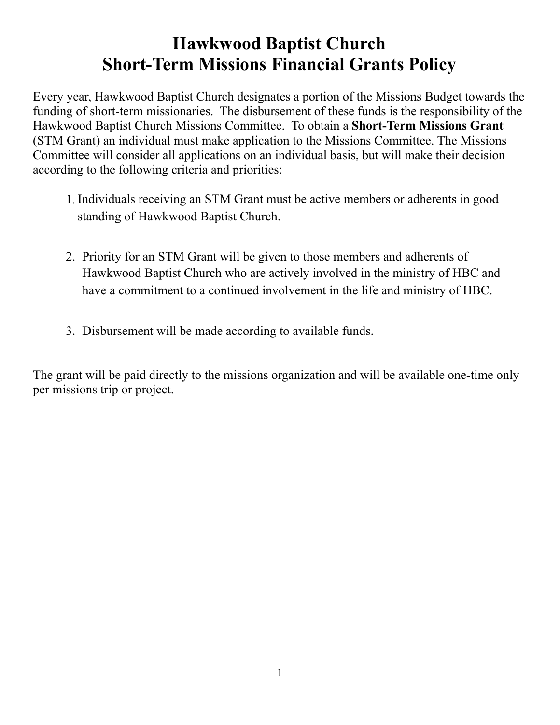## **Hawkwood Baptist Church Short-Term Missions Financial Grants Policy**

Every year, Hawkwood Baptist Church designates a portion of the Missions Budget towards the funding of short-term missionaries. The disbursement of these funds is the responsibility of the Hawkwood Baptist Church Missions Committee. To obtain a **Short-Term Missions Grant** (STM Grant) an individual must make application to the Missions Committee. The Missions Committee will consider all applications on an individual basis, but will make their decision according to the following criteria and priorities:

- 1. Individuals receiving an STM Grant must be active members or adherents in good standing of Hawkwood Baptist Church.
- 2. Priority for an STM Grant will be given to those members and adherents of Hawkwood Baptist Church who are actively involved in the ministry of HBC and have a commitment to a continued involvement in the life and ministry of HBC.
- 3. Disbursement will be made according to available funds.

The grant will be paid directly to the missions organization and will be available one-time only per missions trip or project.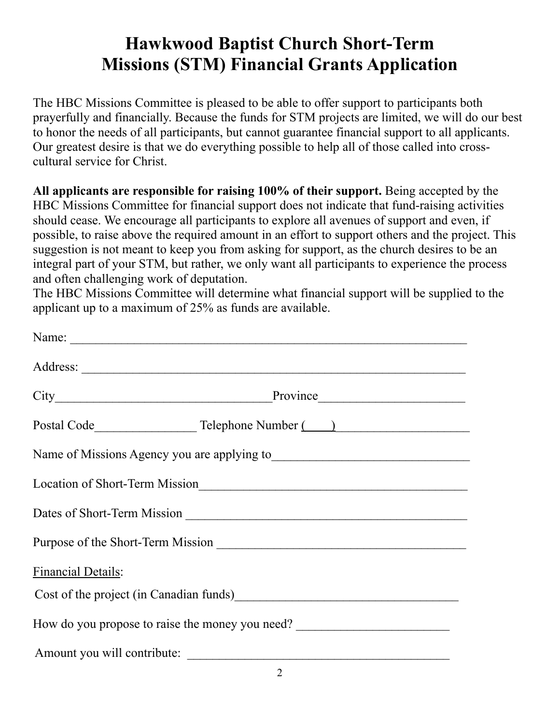## **Hawkwood Baptist Church Short-Term Missions (STM) Financial Grants Application**

The HBC Missions Committee is pleased to be able to offer support to participants both prayerfully and financially. Because the funds for STM projects are limited, we will do our best to honor the needs of all participants, but cannot guarantee financial support to all applicants. Our greatest desire is that we do everything possible to help all of those called into crosscultural service for Christ.

**All applicants are responsible for raising 100% of their support.** Being accepted by the HBC Missions Committee for financial support does not indicate that fund-raising activities should cease. We encourage all participants to explore all avenues of support and even, if possible, to raise above the required amount in an effort to support others and the project. This suggestion is not meant to keep you from asking for support, as the church desires to be an integral part of your STM, but rather, we only want all participants to experience the process and often challenging work of deputation.

The HBC Missions Committee will determine what financial support will be supplied to the applicant up to a maximum of 25% as funds are available.

|                                                 | Name:                                                                                             |  |
|-------------------------------------------------|---------------------------------------------------------------------------------------------------|--|
|                                                 |                                                                                                   |  |
|                                                 |                                                                                                   |  |
|                                                 |                                                                                                   |  |
|                                                 | Name of Missions Agency you are applying to<br><u>Name of Missions Agency you are applying to</u> |  |
|                                                 |                                                                                                   |  |
|                                                 |                                                                                                   |  |
|                                                 |                                                                                                   |  |
| <b>Financial Details:</b>                       |                                                                                                   |  |
|                                                 |                                                                                                   |  |
| How do you propose to raise the money you need? |                                                                                                   |  |
| Amount you will contribute:                     |                                                                                                   |  |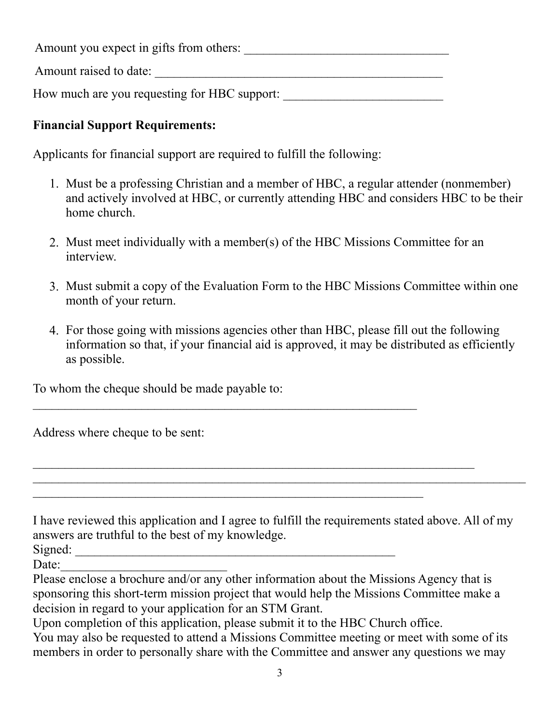Amount you expect in gifts from others: \_\_\_\_\_\_\_\_\_\_\_\_\_\_\_\_\_\_\_\_\_\_\_\_\_\_\_\_\_\_\_\_ Amount raised to date: \_\_\_\_\_\_\_\_\_\_\_\_\_\_\_\_\_\_\_\_\_\_\_\_\_\_\_\_\_\_\_\_\_\_\_\_\_\_\_\_\_\_\_\_\_

How much are you requesting for HBC support:

## **Financial Support Requirements:**

Applicants for financial support are required to fulfill the following:

- 1. Must be a professing Christian and a member of HBC, a regular attender (nonmember) and actively involved at HBC, or currently attending HBC and considers HBC to be their home church.
- 2. Must meet individually with a member(s) of the HBC Missions Committee for an interview.
- 3. Must submit a copy of the Evaluation Form to the HBC Missions Committee within one month of your return.
- 4. For those going with missions agencies other than HBC, please fill out the following information so that, if your financial aid is approved, it may be distributed as efficiently as possible.

To whom the cheque should be made payable to:

Address where cheque to be sent:

I have reviewed this application and I agree to fulfill the requirements stated above. All of my answers are truthful to the best of my knowledge.

 $\mathcal{L}_\text{max} = \frac{1}{2} \sum_{i=1}^{n} \mathcal{L}_\text{max} = \frac{1}{2} \sum_{i=1}^{n} \mathcal{L}_\text{max} = \frac{1}{2} \sum_{i=1}^{n} \mathcal{L}_\text{max} = \frac{1}{2} \sum_{i=1}^{n} \mathcal{L}_\text{max} = \frac{1}{2} \sum_{i=1}^{n} \mathcal{L}_\text{max} = \frac{1}{2} \sum_{i=1}^{n} \mathcal{L}_\text{max} = \frac{1}{2} \sum_{i=1}^{n} \mathcal{L}_\text{max} = \frac{1}{$ 

Date:

Signed: \_\_\_\_\_\_\_\_\_\_\_\_\_\_\_\_\_\_\_\_\_\_\_\_\_\_\_\_\_\_\_\_\_\_\_\_\_\_\_\_\_\_\_\_\_\_\_\_\_\_ Please enclose a brochure and/or any other information about the Missions Agency that is sponsoring this short-term mission project that would help the Missions Committee make a decision in regard to your application for an STM Grant.

Upon completion of this application, please submit it to the HBC Church office.

 $\mathcal{L}_\text{max}$  and the contract of the contract of the contract of the contract of the contract of the contract of

 $\mathcal{L}_\text{max}$  and the contract of the contract of the contract of the contract of the contract of the contract of

You may also be requested to attend a Missions Committee meeting or meet with some of its members in order to personally share with the Committee and answer any questions we may